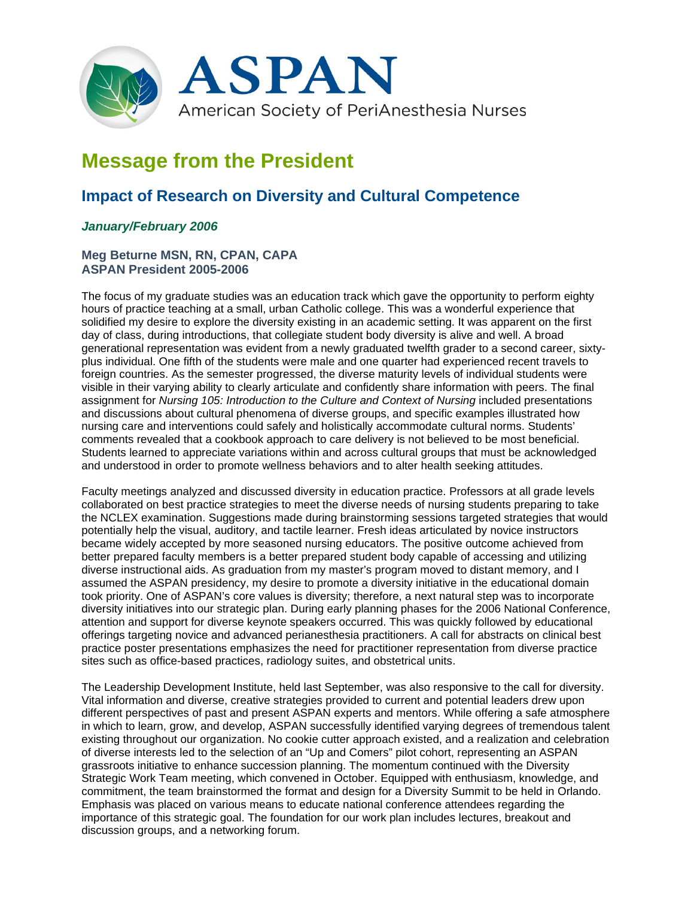

## **Message from the President**

## **Impact of Research on Diversity and Cultural Competence**

## *January/February 2006*

## **Meg Beturne MSN, RN, CPAN, CAPA ASPAN President 2005-2006**

The focus of my graduate studies was an education track which gave the opportunity to perform eighty hours of practice teaching at a small, urban Catholic college. This was a wonderful experience that solidified my desire to explore the diversity existing in an academic setting. It was apparent on the first day of class, during introductions, that collegiate student body diversity is alive and well. A broad generational representation was evident from a newly graduated twelfth grader to a second career, sixtyplus individual. One fifth of the students were male and one quarter had experienced recent travels to foreign countries. As the semester progressed, the diverse maturity levels of individual students were visible in their varying ability to clearly articulate and confidently share information with peers. The final assignment for *Nursing 105: Introduction to the Culture and Context of Nursing* included presentations and discussions about cultural phenomena of diverse groups, and specific examples illustrated how nursing care and interventions could safely and holistically accommodate cultural norms. Students' comments revealed that a cookbook approach to care delivery is not believed to be most beneficial. Students learned to appreciate variations within and across cultural groups that must be acknowledged and understood in order to promote wellness behaviors and to alter health seeking attitudes.

Faculty meetings analyzed and discussed diversity in education practice. Professors at all grade levels collaborated on best practice strategies to meet the diverse needs of nursing students preparing to take the NCLEX examination. Suggestions made during brainstorming sessions targeted strategies that would potentially help the visual, auditory, and tactile learner. Fresh ideas articulated by novice instructors became widely accepted by more seasoned nursing educators. The positive outcome achieved from better prepared faculty members is a better prepared student body capable of accessing and utilizing diverse instructional aids. As graduation from my master's program moved to distant memory, and I assumed the ASPAN presidency, my desire to promote a diversity initiative in the educational domain took priority. One of ASPAN's core values is diversity; therefore, a next natural step was to incorporate diversity initiatives into our strategic plan. During early planning phases for the 2006 National Conference, attention and support for diverse keynote speakers occurred. This was quickly followed by educational offerings targeting novice and advanced perianesthesia practitioners. A call for abstracts on clinical best practice poster presentations emphasizes the need for practitioner representation from diverse practice sites such as office-based practices, radiology suites, and obstetrical units.

The Leadership Development Institute, held last September, was also responsive to the call for diversity. Vital information and diverse, creative strategies provided to current and potential leaders drew upon different perspectives of past and present ASPAN experts and mentors. While offering a safe atmosphere in which to learn, grow, and develop, ASPAN successfully identified varying degrees of tremendous talent existing throughout our organization. No cookie cutter approach existed, and a realization and celebration of diverse interests led to the selection of an "Up and Comers" pilot cohort, representing an ASPAN grassroots initiative to enhance succession planning. The momentum continued with the Diversity Strategic Work Team meeting, which convened in October. Equipped with enthusiasm, knowledge, and commitment, the team brainstormed the format and design for a Diversity Summit to be held in Orlando. Emphasis was placed on various means to educate national conference attendees regarding the importance of this strategic goal. The foundation for our work plan includes lectures, breakout and discussion groups, and a networking forum.